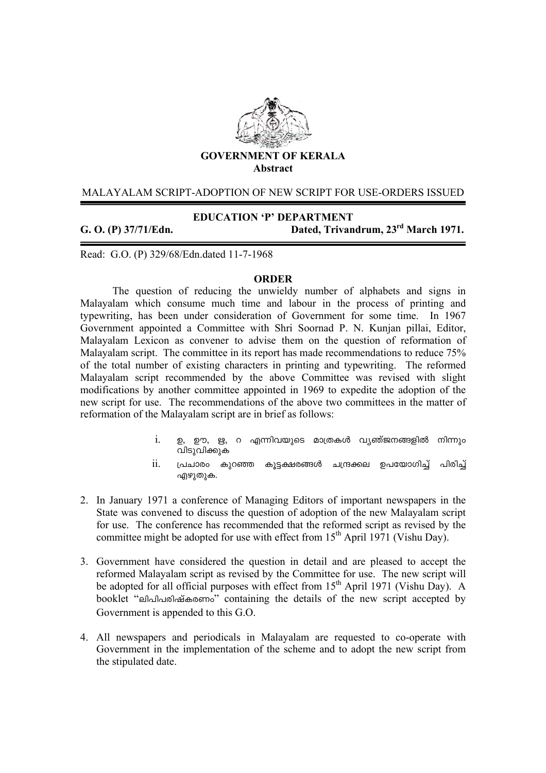

### MALAYALAM SCRIPT-ADOPTION OF NEW SCRIPT FOR USE-ORDERS ISSUED

**EDUCATION 'P' DEPARTMENT** 

Read: G.O. (P) 329/68/Edn.dated 11-7-1968

**G. O. (P) 37/71/Edn. Dated, Trivandrum, 23rd March 1971.**

#### **ORDER**

 The question of reducing the unwieldy number of alphabets and signs in Malayalam which consume much time and labour in the process of printing and typewriting, has been under consideration of Government for some time. In 1967 Government appointed a Committee with Shri Soornad P. N. Kunjan pillai, Editor, Malayalam Lexicon as convener to advise them on the question of reformation of Malayalam script. The committee in its report has made recommendations to reduce 75% of the total number of existing characters in printing and typewriting. The reformed Malayalam script recommended by the above Committee was revised with slight modifications by another committee appointed in 1969 to expedite the adoption of the new script for use. The recommendations of the above two committees in the matter of reformation of the Malayalam script are in brief as follows:

- $i$ . ഉ, ഊ, ഋ, റ എന്നിവയുടെ മാത്രകൾ വ്യത്ജനങ്ങളിൽ നിന്നും വിടുവിക്കുക
- $\,$ ii.  $\,$  പ്രചാരം കുറഞ്ഞ കൂട്ടക്ഷരങ്ങൾ ചന്ദ്രക്കല ഉപയോഗിച്ച് പിരിച്ച് എഴുതുക.
- 2. In January 1971 a conference of Managing Editors of important newspapers in the State was convened to discuss the question of adoption of the new Malayalam script for use. The conference has recommended that the reformed script as revised by the committee might be adopted for use with effect from  $15<sup>th</sup>$  April 1971 (Vishu Dav).
- 3. Government have considered the question in detail and are pleased to accept the reformed Malayalam script as revised by the Committee for use. The new script will be adopted for all official purposes with effect from  $15<sup>th</sup>$  April 1971 (Vishu Day). A booklet "endlangla booklet" containing the details of the new script accepted by Government is appended to this G.O.
- 4. All newspapers and periodicals in Malayalam are requested to co-operate with Government in the implementation of the scheme and to adopt the new script from the stipulated date.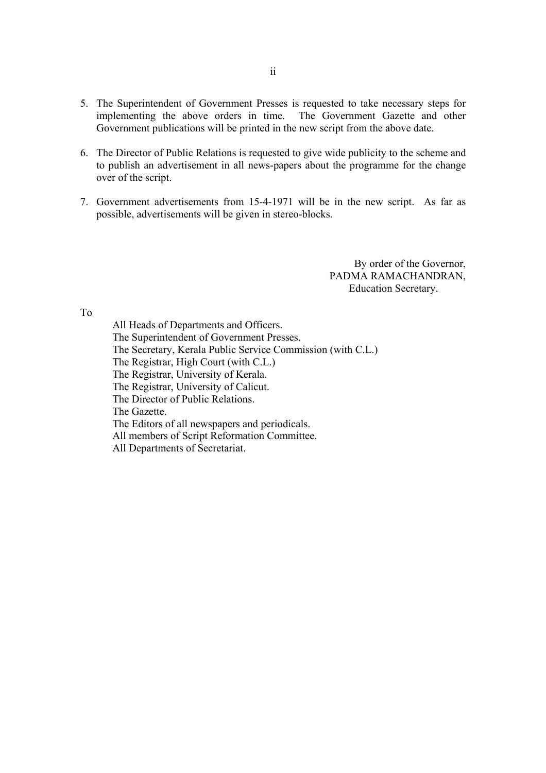- 5. The Superintendent of Government Presses is requested to take necessary steps for implementing the above orders in time. The Government Gazette and other Government publications will be printed in the new script from the above date.
- 6. The Director of Public Relations is requested to give wide publicity to the scheme and to publish an advertisement in all news-papers about the programme for the change over of the script.
- 7. Government advertisements from 15-4-1971 will be in the new script. As far as possible, advertisements will be given in stereo-blocks.

By order of the Governor, PADMA RAMACHANDRAN, Education Secretary.

To

 All Heads of Departments and Officers. The Superintendent of Government Presses. The Secretary, Kerala Public Service Commission (with C.L.) The Registrar, High Court (with C.L.) The Registrar, University of Kerala. The Registrar, University of Calicut. The Director of Public Relations. The Gazette. The Editors of all newspapers and periodicals. All members of Script Reformation Committee. All Departments of Secretariat.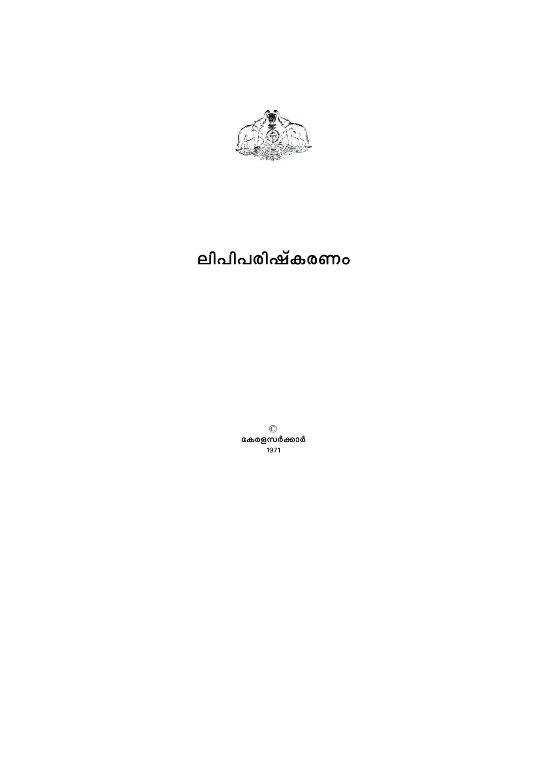

# ലിപിപരിഷ്കരണം

©<br>കേരളസർക്കാർ -<br>1971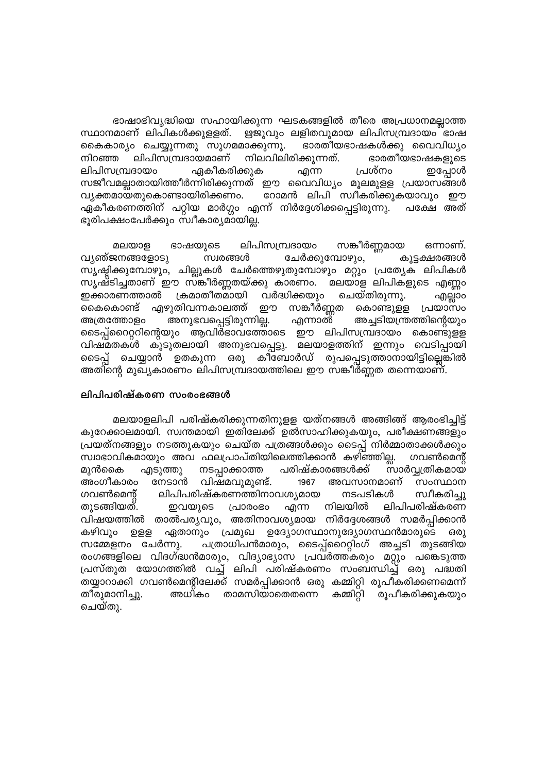ഭാഷാഭിവൃദ്ധിയെ സഹായിക്കുന്ന ഘടകങ്ങളിൽ തീരെ അപ്രധാനമല്ലാത്ത സ്ഥാനമാണ് ലിപികൾക്കുളളത്. ഋജുവും ലളിതവുമായ ലിപിസമ്പ്രദായം ഭാഷ കൈകാര്യം ചെയ്യുന്നതു സുഗമമാക്കുന്നു. ഭാരതീയഭാഷകൾക്കു വൈവിധ്യം നിറഞ്ഞ ലിപിസമ്പ്രദായമാണ് നിലവിലിരിക്കുന്നത്. ഭാരതീയഭാഷകളുടെ പ്രശ്നം ലിപിസമ്പ്രദായം ഏകീകരിക്കുക എന്ന ഇപ്പോൾ ്സജീവമല്ലാതായിത്തീർന്നിരിക്കുന്നത് ഈ വൈവിധ്യം മൂലമുളള പ്രയാസങ്ങൾ വ്യക്തമായതുകൊണ്ടായിരിക്കണം. റോമൻ ലിപി സ്വീകരിക്കുകയാവും ഈ ഏകീകരണത്തിന് പറ്റിയ മാർഗ്ഗം എന്ന് നിർദ്ദേശിക്കപ്പെട്ടിരുന്നു. പക്ഷേ അത് ഭൂരിപക്ഷംപേർക്കും സ്വീകാര്യമായില്ല.

ലിപിസമ്പ്രദായം സങ്കീർണ്ണമായ ഭാഷയുടെ ഒന്നാണ്. മലയാള വ്യത്ജനങ്ങളോടു സ്വരങ്ങൾ ചേർക്കുമ്പോഴും, കൂട്ടക്ഷരങ്ങൾ സൃഷ്ടിക്കുമ്പോഴും, ചില്ലുകൾ ചേർത്തെഴുതുമ്പോഴും മറ്റും പ്രത്യേക ലിപികൾ സൃഷ്ടിച്ചതാണ് ഈ സങ്കീർണ്ണതയ്ക്കു കാരണം. മലയാള ലിപികളുടെ എണ്ണം ഇക്കാരണത്താൽ ക്രമാതീതമായി വർദ്ധിക്കയും ചെയ്തിരുന്നു. എല്ലാം എഴുതിവന്നകാലത്ത് ഈ സങ്കീർണ്ണത കൊണ്ടുളള പ്രയാസം കൈകൊണ്ട് അനുഭവപ്പെട്ടിരുന്നില്ല. അച്ചടിയന്ത്രത്തിന്റെയും അത്രത്തോളം എന്നാൽ ടൈപ്പ്റൈറ്ററിന്റെയും ആവിർഭാവത്തോടെ ഈ ലിപിസമ്പ്രദായം കൊണ്ടുളള വിഷ്മതകൾ കൂടുതലായി അനുഭവപ്പെട്ടു. മലയാളത്തിന് ഇന്നും വെടിപ്പായി ടൈപ്പ് ചെയ്യാൻ ഉതകുന്ന ഒരു കീബോർഡ് രൂപപ്പെടുത്താനായിട്ടില്ലെങ്കിൽ അതിന്റെ മുഖ്യകാരണം ലിപിസമ്പ്രദായത്തിലെ ഈ സങ്കീർണ്ണത തന്നെയാണ്.

### ലിപിപരിഷ്കരണ സംരംഭങ്ങൾ

മലയാളലിപി പരിഷ്കരിക്കുന്നതിനുളള യത്നങ്ങൾ അങ്ങിങ്ങ് ആരംഭിച്ചിട്ട് കുറേക്കാലമായി. സ്വന്തമായി ഇതിലേക്ക് ഉൽസാഹിക്കുകയും, പരീക്ഷണങ്ങളും പ്രയത്നങ്ങളും നടത്തുകയും ചെയ്ത പത്രങ്ങൾക്കും ടൈപ്പ് നിർമ്മാതാക്കൾക്കും സ്വാഭാവികമായും അവ ഫലപ്രാപ്തിയിലെത്തിക്കാൻ കഴിഞ്ഞില്ല. ഗവൺമെന്റ് പരിഷ്കാരങ്ങൾക്ക് സാർവ്വത്രികമായ മൂൻകൈ എടുത്തു നടപ്പാക്കാത്ത അംഗീകാരം നേടാൻ വിഷമവുമുണ്ട്. അവസാനമാണ് സംസ്ഥാന 1967 ഗവൺമെന്റ് ലിപിപരിഷ്കരണത്തിനാവശ്യമായ നടപടികൾ സ്വീകരിച്ചു ലിപിപരിഷ്കരണ തുടങ്ങിയത്. ഇവയുടെ പ്രാരാഭാ എന്ന നിലയിൽ വിഷയത്തിൽ താൽപര്യവും, അതിനാവശ്യമായ നിർദ്ദേശങ്ങൾ സമർപ്പിക്കാൻ കഴിവും ഉള്ള ഏതാനും പ്രമുഖ ഉദ്യോഗസ്ഥാനുദ്യോഗസ്ഥൻമാരുടെ 6301 സമ്മേളനം ചേർന്നു. പത്രാധിപൻമാരും, ടൈപ്പ്റൈററ്റിംഗ് അച്ചടി തുടങ്ങിയ രംഗങ്ങളിലെ വിദഗ്ദ്ധൻമാരും, വിദ്യാഭ്യാസ പ്രവർത്തകരും മറ്റും പങ്കെടുത്ത പ്രസ്തുത യോഗത്തിൽ വച്ച് ലിപി പരിഷ്കരണം സംബന്ധിച്ച് ഒരു പദ്ധതി ്<sup>\_\_\_\_\_\_</sup>ം<br>തയ്യാറാക്കി ഗവൺമെന്റിലേക്ക് സമർപ്പിക്കാൻ ഒരു കമ്മിറ്റി രൂപീകരിക്കണമെന്ന് തീരുമാനിച്ചു. അധികം താമസിയാതെതന്നെ കമ്മിറ്റി രൂപീകരിക്കുകയും ചെയ്തു.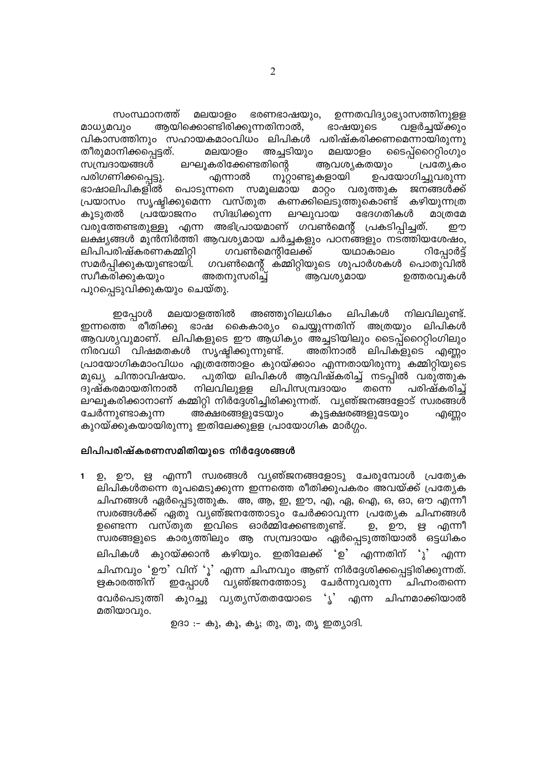സംസ്ഥാനത്ത് മലയാളം ഭരണഭാഷയും, ഉന്നതവിദ്യാഭ്യാസത്തിനുളള മാധ്യമവും ആയിക്കൊണ്ടിരിക്കുന്നതിനാൽ, ഭാഷയുടെ വളർച്ചയ്ക്കും വികാസത്തിനും സഹായകമാംവിധം ലിപികൾ പരിഷ്കരിക്കണമെന്നായിരുന്നു തീരുമാനിക്കപ്പെട്ടത്. മലയാളം അച്ചടിയും മലയാളം ടൈപ്പ്റൈററ്റിംഗും ആവശ്യകതയും സമ്പ്രദായങ്ങൾ ലഘൂകരിക്കേണ്ടതിന്റെ പ്രത്യേകാ നൂറ്റാണ്ടുകളായി പരിഗണിക്കപ്പെട്ടു. എന്നാൽ ഉപയോഗിച്ചുവരുന്ന ഭാഷാലിപികളിൽ പൊടുന്നനെ സമൂലമായ മാറ്റം വരുത്തുക ജനങ്ങൾക്ക് പ്രയാസം സൃഷ്ടിക്കുമെന്ന വസ്തുത കണക്കിലെടുത്തുകൊണ്ട് കഴിയുന്നത്ര കൂടുതൽ പ്രയോജനം സിദ്ധിക്കുന്ന ലഘുവായ ഭേദഗതികൾ മാത്രമേ വരുത്തേണ്ടതുള്ളൂ എന്ന അഭിപ്രായമാണ് ഗവൺമെന്റ് പ്രകടിപ്പിച്ചത്. றற ലക്ഷ്യങ്ങൾ മുൻനിർത്തി ആവശ്യമായ ചർച്ചകളും പഠനങ്ങളും നടത്തിയശേഷം, ഗവൺമെന്റിലേക്ക് യഥാകാലം ലിപിപരിഷ്കരണകമ്മിറ്റി റിപ്പോർട്ട് ഗവൺമെന്റ് ക്മ്മിറ്റിയുടെ ശുപാർശകൾ പൊതുവിൽ സമർപ്പിക്കുകയുണ്ടായി. അതനുസരിച്ച് ഉത്തരവുകൾ സ്വീകരിക്കുകയും ആവശ്യമായ പുറപ്പെടുവിക്കുകയും ചെയ്തു.

മലയാളത്തിൽ അഞ്ഞൂറിലധികം ലിപികൾ നിലവിലുണ്ട്. ഇപ്പോൾ ഇന്നത്തെ രീതിക്കു ഭാഷ കൈകാര്യം ചെയ്യുന്നതിന് അത്രയും ലിപികൾ ആവശ്യവുമാണ്. ലിപികളുടെ ഈ ആധിക്യം അച്ചടിയിലും ടൈപ്പ്റൈററ്റിംഗിലും നിരവധി വിഷമതകൾ സൃഷ്ടിക്കുന്നുണ്ട്. അതിനാൽ ലിപികളുടെ എണ്ണം പ്രായോഗികമാംവിധം എത്രത്തോളം കുറയ്ക്കാം എന്നതായിരുന്നു കമ്മിറ്റിയുടെ മുഖ്യ ചിന്താവിഷയം. പുതിയ ലിപികൾ ആവിഷ്കരിച്ച് നടപ്പിൽ വരുത്തുക ദുഷ്കരമായതിനാൽ നിലവിലുളള ലിപിസമ്പ്രദായം തന്നെ പരിഷ്കരിച്ച് ലഘൂകരിക്കാനാണ് കമ്മിറ്റി നിർദ്ദേശിച്ചിരിക്കുന്നത്. വ്യഞ്ജനങ്ങളോട് സ്വരങ്ങൾ അക്ഷരങ്ങളുടേയും ചേർന്നുണ്ടാകുന്ന കൂട്ടക്ഷരങ്ങളുടേയും എണ്ണാ കുറയ്ക്കുകയായിരുന്നു ഇതിലേക്കുളള പ്രായോഗിക മാർഗ്ഗം.

#### ലിപിപരിഷ്കരണസമിതിയുടെ നിർദ്ദേശങ്ങൾ

ഉ, ഊ, ഋ എന്നീ സ്വരങ്ങൾ വൃഞ്ജനങ്ങളോടു ചേരുമ്പോൾ പ്രത്യേക ലിപികൾതന്നെ രൂപമെടുക്കുന്ന ഇന്നത്തെ രീതിക്കുപകരം അവയ്ക്ക് പ്രത്യേക ചിഹ്നങ്ങൾ ഏർപ്പെടുത്തുക. അ, ആ, ഇ, ഈ, എ, ഏ, ഐ, ഒ, ഓ, ഔ എന്നീ സ്വരങ്ങൾക്ക് ഏതു വൃഞ്ജനത്തോടും ചേർക്കാവുന്ന പ്രത്യേക ചിഹ്നങ്ങൾ ഊ, ഋ എന്നീ ഉണ്ടെന്ന വസ്തുത ഇവിടെ ഓർമ്മിക്കേണ്ടതുണ്ട്. ഉ, സ്വരങ്ങളുടെ കാര്യത്തിലും ആ സമ്പ്രദായം ഏർപ്പെടുത്തിയാൽ ഒട്ടധികം കുറയ്ക്കാൻ കഴിയും. ഇതിലേക്ക് <u>່ອ</u>' എന്നതിന് 'ു' ലിപികൾ എന്ന ചിഹ്നവും 'ഊ' വിന് 'ൂ' എന്ന ചിഹ്നവും ആണ് നിർദ്ദേശിക്കപ്പെട്ടിരിക്കുന്നത്. വ്യഞ്ജനത്തോടു ഋകാരത്തിന് ഇപ്പോൾ ചേർന്നുവരുന്ന ചിഹ്നംതന്നെ വേർപെടുത്തി കുറച്ചു വൃതൃസ്തതയോടെ 'ൃ' എന്ന ചിഹ്നമാക്കിയാൽ മതിയാവും.

ഉദാ :- കു, കൂ, കൂ; തു, തൂ, തൃ ഇത്യാദി.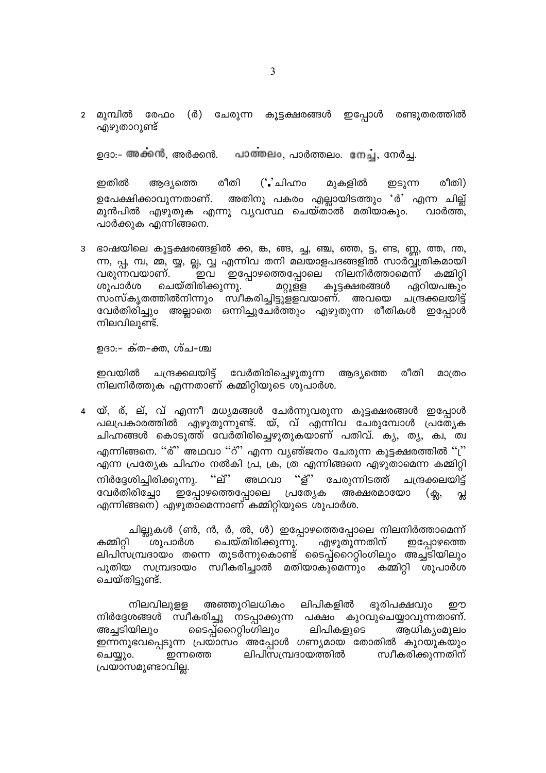2 മുമ്പിൽ (ർ) ചേരുന്ന കൂട്ടക്ഷരങ്ങൾ ഇപ്പോൾ രണ്ടുതരത്തിൽ രേഫം എഴുതാറുണ്ട്

പാത്തലം, പാർത്തലം. നേച്ച, നേർച്ച. ഉദാ:- അക്കൻ, അർക്കൻ.

രീതി  $($ ് ചിഹ്നാ ഇതിൽ മുകളിൽ രീതി) ആദ്യത്തെ ഇടുന്ന അതിനു പകരം എല്ലായിടത്തും 'ർ' എന്ന ചില്ല് ഉപേക്ഷിക്കാവുന്നതാണ്. മുൻപിൽ എഴുതുക എന്നു വ്യവസ്ഥ ചെയ്താൽ മതിയാകും. വാർത്ത, പാർക്കുക എന്നിങ്ങനെ.

3 ഭാഷയിലെ കൂട്ടക്ഷരങ്ങളിൽ ക്ക, ങ്ക, ങ്ങ, ച്ച, ഞ്ച, ഞ്ഞ, ട്ട, ണ്ട, ണ്ണ, ത്ത, ന്ത, ന്ന, പ്പ, മ്പ, മ്മ, യ്യ, ല്ല, വ്വ എന്നിവ തനി മലയാളപദങ്ങളിൽ സാർവ്വ്ത്രികമായി വരുന്നവയാണ്. ഇപ്പോഴത്തെപ്പോലെ നിലനിർത്താമെന്ന് കമ്മിറ്റി ഇവ ചെയ്തിരിക്കുന്നു. \_ കൂട്ടക്ഷരങ്ങൾ ശുപാർശ മറ്റുളള ഏറിയപങ്കും സംസ്കൃതത്തിൽനിന്നും സ്വീകരിച്ചിട്ടുളളവയാണ്. അവയെ ചന്ദ്രക്കലയിട്ട് വേർതിരിച്ചും അല്ലാതെ ഒന്നിച്ചുചേർത്തും എഴുതുന്ന രീതികൾ ഇപ്പോൾ നിലവിലുണ്ട്.

ഉദാ:- ക്ത-ക്ത, ശ്ച-ശ്ച

ഇവയിൽ ചന്ദ്രക്കലയിട്ട് വേർതിരിച്ചെഴുതുന്ന ആദ്യത്തെ രീതി മാത്രം നിലനിർത്തുക എന്നതാണ് കമ്മിറ്റിയുടെ ശുപാർശ.

യ്, ര്, ല്, വ് എന്നീ മധ്യമങ്ങൾ ചേർന്നുവരുന്ന കൂട്ടക്ഷരങ്ങൾ ഇപ്പോൾ പലപ്രകാരത്തിൽ എഴുതുന്നുണ്ട്. യ്, വ് എന്നിവ ചേരുമ്പോൾ പ്രത്യേക ചിഹ്നങ്ങൾ കൊടുത്ത് വേർതിരിച്ചെഴുതുകയാണ് പതിവ്. കൃ, തൃ, ക്വ, ത്വ എന്നിങ്ങനെ. ''ര്'' അഥവാ ''റ്'' എന്ന വ്യഞ്ജനം ചേരുന്ന കൂട്ടക്ഷരത്തിൽ ''('' എന്ന പ്രത്യേക ചിഹ്നം നൽകി പ്ര, ക്ര, ത്ര എന്നിങ്ങനെ എഴുതാമെന്ന കമ്മിറ്റി  $``\vec{p}"$ "ള്" നിർദ്ദേശിച്ചിരിക്കുന്നു. അഥവാ ചേരുന്നിടത്ത് ചന്ദ്രക്കലയിട്ട് വേർതിരിച്ചോ ഇപ്പോഴത്തെപ്പോലെ പ്രത്യേക അക്ഷരമായോ  $(\bigoplus,$ പ്ല എന്നിങ്ങനെ) എഴുതാമെന്നാണ് കമ്മിറ്റിയുടെ ശുപാർശ.

ചില്ലുകൾ (ൺ, ൻ, ർ, ൽ, ൾ) ഇപ്പോഴത്തെപ്പോലെ നിലനിർത്താമെന്ന് എഴുതുന്നതിന് ചെയ്തിരിക്കുന്നു. കമ്മിറ്റി ശുപാർശ ഇപ്പോഴത്തെ ലിപിസമ്പ്രദായം തന്നെ തുടർന്നുകൊണ്ട് ടൈപ്പ്റൈററ്റിംഗിലും അച്ചടിയിലും പുതിയ സമ്പ്രദായം സ്വീകരിച്ചാൽ മതിയാകുമെന്നും കമ്മിറ്റി ശുപാർശ ചെയ്തിട്ടുണ്ട്.

നിലവിലുളള അഞ്ഞൂറിലധികം ലിപികളിൽ ഭൂരിപക്ഷവും றற നിർദ്ദേശങ്ങൾ സ്വീകരിച്ചു നടപ്പാക്കുന്ന പക്ഷം കുറവുചെയ്യാവുന്നതാണ്. അച്ചടിയിലും ടൈപ്പ്റൈററ്റിംഗിലും ലിപികളുടെ ആധിക്യംമൂലം ഇന്നനുഭവപ്പെടുന്ന പ്രയാസം അപ്പോൾ ഗണ്യമായ തോതിൽ കുറയുകയും ലിപിസമ്പ്രദായത്തിൽ സ്വീകരിക്കുന്നതിന് ചെയ്യും. ഇന്നത്തെ പ്രയാസമുണ്ടാവില്ല.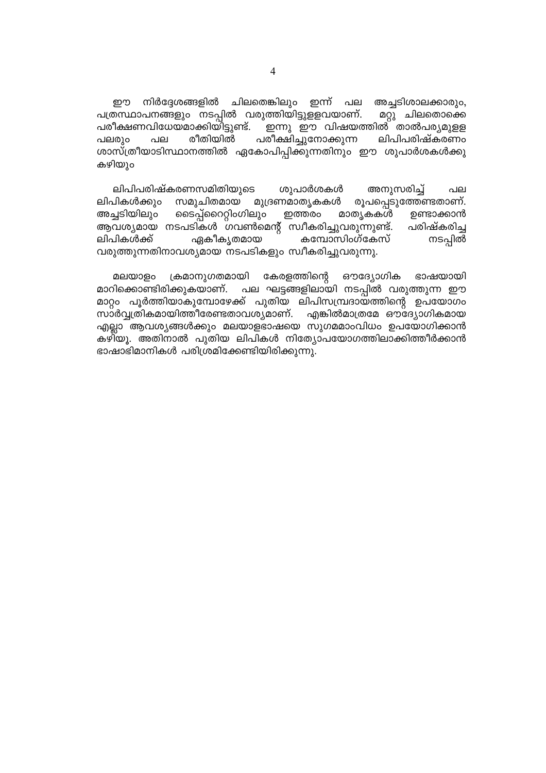നിർദ്ദേശങ്ങളിൽ ചിലതെങ്കിലും ഇന്ന് പല றற അച്ചടിശാലക്കാരും, പത്രസ്ഥാപനങ്ങളും നടപ്പിൽ വരുത്തിയിട്ടുളളവയാണ്. മറ്റു ചിലതൊക്കെ പരീക്ഷണവിധേയമാക്കിയിട്ടുണ്ട്. \_ഇന്നു <sub>.</sub> ഈ വിഷയത്തിൽ താൽപര്യമുള്ള പരീക്ഷിച്ചുനോക്കുന്ന രീതിയിൽ ലിപിപരിഷ്കരണം പലരും പല ശാസ്ത്രീയാടിസ്ഥാനത്തിൽ ഏകോപിപ്പിക്കുന്നതിനും ഈ ശുപാർശകൾക്കു കഴിയും

ലിപിപരിഷ്കരണസമിതിയുടെ ശുപാർശകൾ അനുസരിച്ച് പല ലിപികൾക്കും സമുചിതമായ മുദ്രണമാതൃകകൾ രൂപപ്പെടുത്തേണ്ടതാണ്. അച്ചടിയിലും ടൈപ്പ്റൈററ്റിംഗിലും ഇത്തരം മാത്യകകൾ ഉണ്ടാക്കാൻ ആവശ്യമായ നടപടികൾ ഗവൺമെന്റ് സ്വീകരിച്ചുവരുന്നുണ്ട്. പരിഷ്കരിച്ച ലിപികൾക്ക് കമ്പോസിംഗ്കേസ് നടപ്പിൽ ഏകീകൃതമായ വരുത്തുന്നതിനാവശ്യമായ നടപടികളും സ്വീകരിച്ചുവരുന്നു.

മലയാളം ക്രമാനുഗതമായി കേരളത്തിന്റെ ഔദ്യോഗിക ഭാഷയായി മാറിക്കൊണ്ടിരിക്കുകയാണ്. പല ഘട്ടങ്ങളിലായി നടപ്പിൽ വരുത്തുന്ന ഈ മാറ്റം പൂർത്തിയാകുമ്പോഴേക്ക് പുതിയ ലിപിസമ്പ്രദായത്തിന്റെ ഉപയോഗം സാർവ്വത്രികമായിത്തീരേണ്ടതാവശ്യമാണ്. എങ്കിൽമാത്രമേ ഔദ്യോഗികമായ എല്ലാ ആവശ്യങ്ങൾക്കും മലയാളഭാഷയെ സുഗമമാംവിധം ഉപയോഗിക്കാൻ കഴിയു. അതിനാൽ പുതിയ ലിപികൾ നിത്യോപയോഗത്തിലാക്കിത്തീർക്കാൻ ഭാഷാഭിമാനികൾ പരിശ്രമിക്കേണ്ടിയിരിക്കുന്നു.